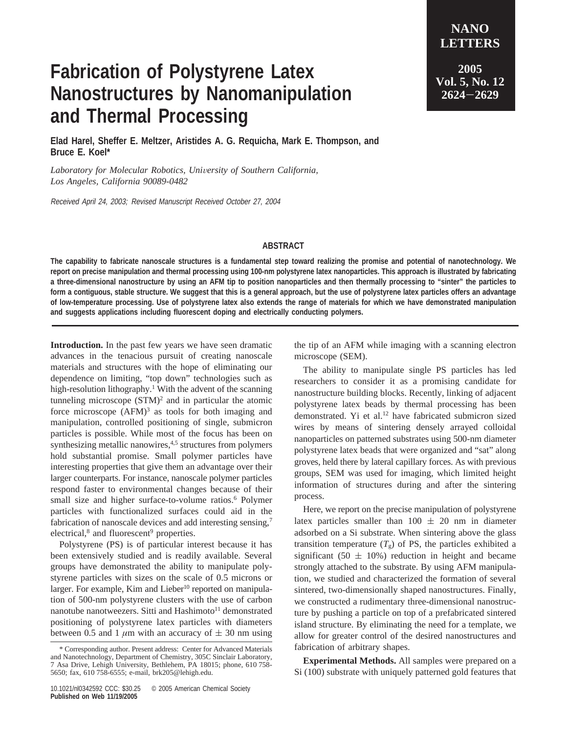**LETTERS 2005 Vol. 5, No. 12 <sup>2624</sup>**-**<sup>2629</sup>**

**NANO**

## **Fabrication of Polystyrene Latex Nanostructures by Nanomanipulation and Thermal Processing**

**Elad Harel, Sheffer E. Meltzer, Aristides A. G. Requicha, Mark E. Thompson, and Bruce E. Koel\***

Laboratory for Molecular Robotics, University of Southern California, *Los Angeles, California 90089-0482*

Received April 24, 2003; Revised Manuscript Received October 27, 2004

## **ABSTRACT**

**The capability to fabricate nanoscale structures is a fundamental step toward realizing the promise and potential of nanotechnology. We report on precise manipulation and thermal processing using 100-nm polystyrene latex nanoparticles. This approach is illustrated by fabricating a three-dimensional nanostructure by using an AFM tip to position nanoparticles and then thermally processing to "sinter" the particles to form a contiguous, stable structure. We suggest that this is a general approach, but the use of polystyrene latex particles offers an advantage of low-temperature processing. Use of polystyrene latex also extends the range of materials for which we have demonstrated manipulation and suggests applications including fluorescent doping and electrically conducting polymers.**

**Introduction.** In the past few years we have seen dramatic advances in the tenacious pursuit of creating nanoscale materials and structures with the hope of eliminating our dependence on limiting, "top down" technologies such as high-resolution lithography.<sup>1</sup> With the advent of the scanning tunneling microscope  $(STM)<sup>2</sup>$  and in particular the atomic force microscope  $(AFM)^3$  as tools for both imaging and manipulation, controlled positioning of single, submicron particles is possible. While most of the focus has been on synthesizing metallic nanowires,<sup>4,5</sup> structures from polymers hold substantial promise. Small polymer particles have interesting properties that give them an advantage over their larger counterparts. For instance, nanoscale polymer particles respond faster to environmental changes because of their small size and higher surface-to-volume ratios.<sup>6</sup> Polymer particles with functionalized surfaces could aid in the fabrication of nanoscale devices and add interesting sensing,<sup>7</sup> electrical,<sup>8</sup> and fluorescent<sup>9</sup> properties.

Polystyrene (PS) is of particular interest because it has been extensively studied and is readily available. Several groups have demonstrated the ability to manipulate polystyrene particles with sizes on the scale of 0.5 microns or larger. For example, Kim and Lieber<sup>10</sup> reported on manipulation of 500-nm polystyrene clusters with the use of carbon nanotube nanotweezers. Sitti and Hashimoto<sup>11</sup> demonstrated positioning of polystyrene latex particles with diameters between 0.5 and 1  $\mu$ m with an accuracy of  $\pm$  30 nm using the tip of an AFM while imaging with a scanning electron microscope (SEM).

The ability to manipulate single PS particles has led researchers to consider it as a promising candidate for nanostructure building blocks. Recently, linking of adjacent polystyrene latex beads by thermal processing has been demonstrated. Yi et al.<sup>12</sup> have fabricated submicron sized wires by means of sintering densely arrayed colloidal nanoparticles on patterned substrates using 500-nm diameter polystyrene latex beads that were organized and "sat" along groves, held there by lateral capillary forces. As with previous groups, SEM was used for imaging, which limited height information of structures during and after the sintering process.

Here, we report on the precise manipulation of polystyrene latex particles smaller than  $100 \pm 20$  nm in diameter adsorbed on a Si substrate. When sintering above the glass transition temperature  $(T_g)$  of PS, the particles exhibited a significant (50  $\pm$  10%) reduction in height and became strongly attached to the substrate. By using AFM manipulation, we studied and characterized the formation of several sintered, two-dimensionally shaped nanostructures. Finally, we constructed a rudimentary three-dimensional nanostructure by pushing a particle on top of a prefabricated sintered island structure. By eliminating the need for a template, we allow for greater control of the desired nanostructures and fabrication of arbitrary shapes.

**Experimental Methods.** All samples were prepared on a Si (100) substrate with uniquely patterned gold features that

<sup>\*</sup> Corresponding author. Present address: Center for Advanced Materials and Nanotechnology, Department of Chemistry, 305C Sinclair Laboratory, 7 Asa Drive, Lehigh University, Bethlehem, PA 18015; phone, 610 758- 5650; fax, 610 758-6555; e-mail, brk205@lehigh.edu.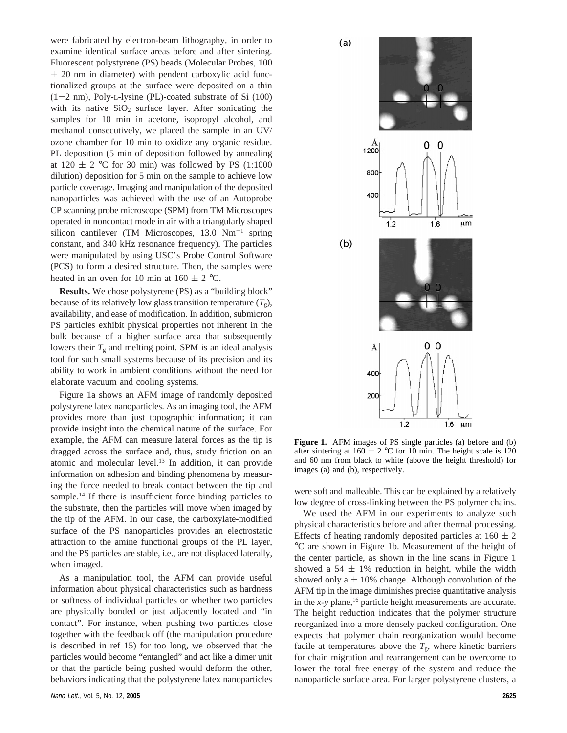were fabricated by electron-beam lithography, in order to examine identical surface areas before and after sintering. Fluorescent polystyrene (PS) beads (Molecular Probes, 100  $\pm$  20 nm in diameter) with pendent carboxylic acid functionalized groups at the surface were deposited on a thin  $(1-2 \text{ nm})$ , Poly-L-lysine (PL)-coated substrate of Si  $(100)$ with its native  $SiO<sub>2</sub>$  surface layer. After sonicating the samples for 10 min in acetone, isopropyl alcohol, and methanol consecutively, we placed the sample in an UV/ ozone chamber for 10 min to oxidize any organic residue. PL deposition (5 min of deposition followed by annealing at  $120 \pm 2$  °C for 30 min) was followed by PS (1:1000 dilution) deposition for 5 min on the sample to achieve low particle coverage. Imaging and manipulation of the deposited nanoparticles was achieved with the use of an Autoprobe CP scanning probe microscope (SPM) from TM Microscopes operated in noncontact mode in air with a triangularly shaped silicon cantilever (TM Microscopes, 13.0 Nm<sup>-1</sup> spring constant, and 340 kHz resonance frequency). The particles were manipulated by using USC's Probe Control Software (PCS) to form a desired structure. Then, the samples were heated in an oven for 10 min at  $160 \pm 2$  °C.

**Results.** We chose polystyrene (PS) as a "building block" because of its relatively low glass transition temperature  $(T<sub>o</sub>)$ , availability, and ease of modification. In addition, submicron PS particles exhibit physical properties not inherent in the bulk because of a higher surface area that subsequently lowers their  $T_g$  and melting point. SPM is an ideal analysis tool for such small systems because of its precision and its ability to work in ambient conditions without the need for elaborate vacuum and cooling systems.

Figure 1a shows an AFM image of randomly deposited polystyrene latex nanoparticles. As an imaging tool, the AFM provides more than just topographic information; it can provide insight into the chemical nature of the surface. For example, the AFM can measure lateral forces as the tip is dragged across the surface and, thus, study friction on an atomic and molecular level.13 In addition, it can provide information on adhesion and binding phenomena by measuring the force needed to break contact between the tip and sample.<sup>14</sup> If there is insufficient force binding particles to the substrate, then the particles will move when imaged by the tip of the AFM. In our case, the carboxylate-modified surface of the PS nanoparticles provides an electrostatic attraction to the amine functional groups of the PL layer, and the PS particles are stable, i.e., are not displaced laterally, when imaged.

As a manipulation tool, the AFM can provide useful information about physical characteristics such as hardness or softness of individual particles or whether two particles are physically bonded or just adjacently located and "in contact". For instance, when pushing two particles close together with the feedback off (the manipulation procedure is described in ref 15) for too long, we observed that the particles would become "entangled" and act like a dimer unit or that the particle being pushed would deform the other, behaviors indicating that the polystyrene latex nanoparticles



**Figure 1.** AFM images of PS single particles (a) before and (b) after sintering at  $160 \pm 2$  °C for 10 min. The height scale is 120 and 60 nm from black to white (above the height threshold) for images (a) and (b), respectively.

were soft and malleable. This can be explained by a relatively low degree of cross-linking between the PS polymer chains.

We used the AFM in our experiments to analyze such physical characteristics before and after thermal processing. Effects of heating randomly deposited particles at  $160 \pm 2$ °C are shown in Figure 1b. Measurement of the height of the center particle, as shown in the line scans in Figure 1 showed a 54  $\pm$  1% reduction in height, while the width showed only a  $\pm$  10% change. Although convolution of the AFM tip in the image diminishes precise quantitative analysis in the  $x$ - $y$  plane,<sup>16</sup> particle height measurements are accurate. The height reduction indicates that the polymer structure reorganized into a more densely packed configuration. One expects that polymer chain reorganization would become facile at temperatures above the  $T_{\rm g}$ , where kinetic barriers for chain migration and rearrangement can be overcome to lower the total free energy of the system and reduce the nanoparticle surface area. For larger polystyrene clusters, a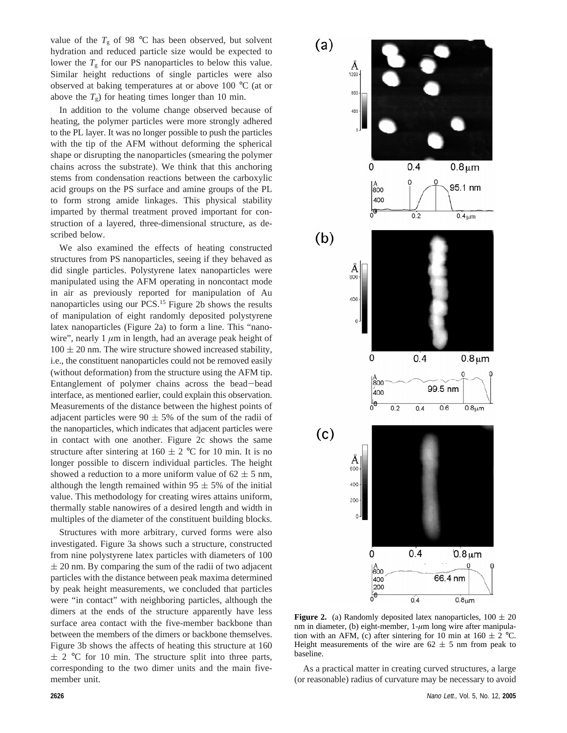value of the  $T_{\rm g}$  of 98 °C has been observed, but solvent hydration and reduced particle size would be expected to lower the  $T<sub>g</sub>$  for our PS nanoparticles to below this value. Similar height reductions of single particles were also observed at baking temperatures at or above 100 °C (at or above the  $T_g$ ) for heating times longer than 10 min.

In addition to the volume change observed because of heating, the polymer particles were more strongly adhered to the PL layer. It was no longer possible to push the particles with the tip of the AFM without deforming the spherical shape or disrupting the nanoparticles (smearing the polymer chains across the substrate). We think that this anchoring stems from condensation reactions between the carboxylic acid groups on the PS surface and amine groups of the PL to form strong amide linkages. This physical stability imparted by thermal treatment proved important for construction of a layered, three-dimensional structure, as described below.

We also examined the effects of heating constructed structures from PS nanoparticles, seeing if they behaved as did single particles. Polystyrene latex nanoparticles were manipulated using the AFM operating in noncontact mode in air as previously reported for manipulation of Au nanoparticles using our PCS.15 Figure 2b shows the results of manipulation of eight randomly deposited polystyrene latex nanoparticles (Figure 2a) to form a line. This "nanowire", nearly 1  $\mu$ m in length, had an average peak height of  $100 \pm 20$  nm. The wire structure showed increased stability, i.e., the constituent nanoparticles could not be removed easily (without deformation) from the structure using the AFM tip. Entanglement of polymer chains across the bead-bead interface, as mentioned earlier, could explain this observation. Measurements of the distance between the highest points of adjacent particles were  $90 \pm 5\%$  of the sum of the radii of the nanoparticles, which indicates that adjacent particles were in contact with one another. Figure 2c shows the same structure after sintering at  $160 \pm 2$  °C for 10 min. It is no longer possible to discern individual particles. The height showed a reduction to a more uniform value of  $62 \pm 5$  nm, although the length remained within  $95 \pm 5\%$  of the initial value. This methodology for creating wires attains uniform, thermally stable nanowires of a desired length and width in multiples of the diameter of the constituent building blocks.

Structures with more arbitrary, curved forms were also investigated. Figure 3a shows such a structure, constructed from nine polystyrene latex particles with diameters of 100  $\pm$  20 nm. By comparing the sum of the radii of two adjacent particles with the distance between peak maxima determined by peak height measurements, we concluded that particles were "in contact" with neighboring particles, although the dimers at the ends of the structure apparently have less surface area contact with the five-member backbone than between the members of the dimers or backbone themselves. Figure 3b shows the affects of heating this structure at 160  $\pm$  2 °C for 10 min. The structure split into three parts, corresponding to the two dimer units and the main fivemember unit.



**Figure 2.** (a) Randomly deposited latex nanoparticles,  $100 \pm 20$ nm in diameter, (b) eight-member, 1-*µ*m long wire after manipulation with an AFM, (c) after sintering for 10 min at  $160 \pm 2$  °C. Height measurements of the wire are  $62 \pm 5$  nm from peak to baseline.

As a practical matter in creating curved structures, a large (or reasonable) radius of curvature may be necessary to avoid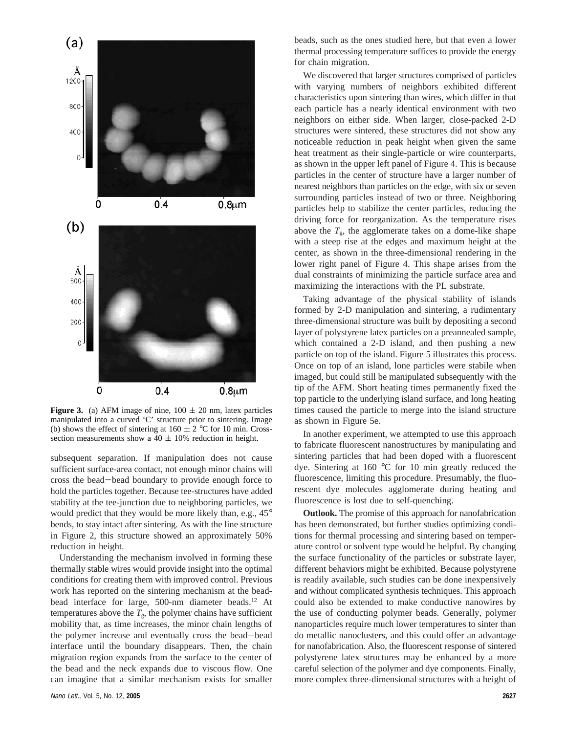

**Figure 3.** (a) AFM image of nine,  $100 \pm 20$  nm, latex particles manipulated into a curved 'C' structure prior to sintering. Image (b) shows the effect of sintering at  $160 \pm 2$  °C for 10 min. Crosssection measurements show a  $40 \pm 10\%$  reduction in height.

subsequent separation. If manipulation does not cause sufficient surface-area contact, not enough minor chains will cross the bead-bead boundary to provide enough force to hold the particles together. Because tee-structures have added stability at the tee-junction due to neighboring particles, we would predict that they would be more likely than, e.g., 45° bends, to stay intact after sintering. As with the line structure in Figure 2, this structure showed an approximately 50% reduction in height.

Understanding the mechanism involved in forming these thermally stable wires would provide insight into the optimal conditions for creating them with improved control. Previous work has reported on the sintering mechanism at the beadbead interface for large, 500-nm diameter beads.<sup>12</sup> At temperatures above the  $T_{g}$ , the polymer chains have sufficient mobility that, as time increases, the minor chain lengths of the polymer increase and eventually cross the bead-bead interface until the boundary disappears. Then, the chain migration region expands from the surface to the center of the bead and the neck expands due to viscous flow. One can imagine that a similar mechanism exists for smaller

beads, such as the ones studied here, but that even a lower thermal processing temperature suffices to provide the energy for chain migration.

We discovered that larger structures comprised of particles with varying numbers of neighbors exhibited different characteristics upon sintering than wires, which differ in that each particle has a nearly identical environment with two neighbors on either side. When larger, close-packed 2-D structures were sintered, these structures did not show any noticeable reduction in peak height when given the same heat treatment as their single-particle or wire counterparts, as shown in the upper left panel of Figure 4. This is because particles in the center of structure have a larger number of nearest neighbors than particles on the edge, with six or seven surrounding particles instead of two or three. Neighboring particles help to stabilize the center particles, reducing the driving force for reorganization. As the temperature rises above the  $T_{\rm g}$ , the agglomerate takes on a dome-like shape with a steep rise at the edges and maximum height at the center, as shown in the three-dimensional rendering in the lower right panel of Figure 4. This shape arises from the dual constraints of minimizing the particle surface area and maximizing the interactions with the PL substrate.

Taking advantage of the physical stability of islands formed by 2-D manipulation and sintering, a rudimentary three-dimensional structure was built by depositing a second layer of polystyrene latex particles on a preannealed sample, which contained a 2-D island, and then pushing a new particle on top of the island. Figure 5 illustrates this process. Once on top of an island, lone particles were stabile when imaged, but could still be manipulated subsequently with the tip of the AFM. Short heating times permanently fixed the top particle to the underlying island surface, and long heating times caused the particle to merge into the island structure as shown in Figure 5e.

In another experiment, we attempted to use this approach to fabricate fluorescent nanostructures by manipulating and sintering particles that had been doped with a fluorescent dye. Sintering at 160 °C for 10 min greatly reduced the fluorescence, limiting this procedure. Presumably, the fluorescent dye molecules agglomerate during heating and fluorescence is lost due to self-quenching.

**Outlook.** The promise of this approach for nanofabrication has been demonstrated, but further studies optimizing conditions for thermal processing and sintering based on temperature control or solvent type would be helpful. By changing the surface functionality of the particles or substrate layer, different behaviors might be exhibited. Because polystyrene is readily available, such studies can be done inexpensively and without complicated synthesis techniques. This approach could also be extended to make conductive nanowires by the use of conducting polymer beads. Generally, polymer nanoparticles require much lower temperatures to sinter than do metallic nanoclusters, and this could offer an advantage for nanofabrication. Also, the fluorescent response of sintered polystyrene latex structures may be enhanced by a more careful selection of the polymer and dye components. Finally, more complex three-dimensional structures with a height of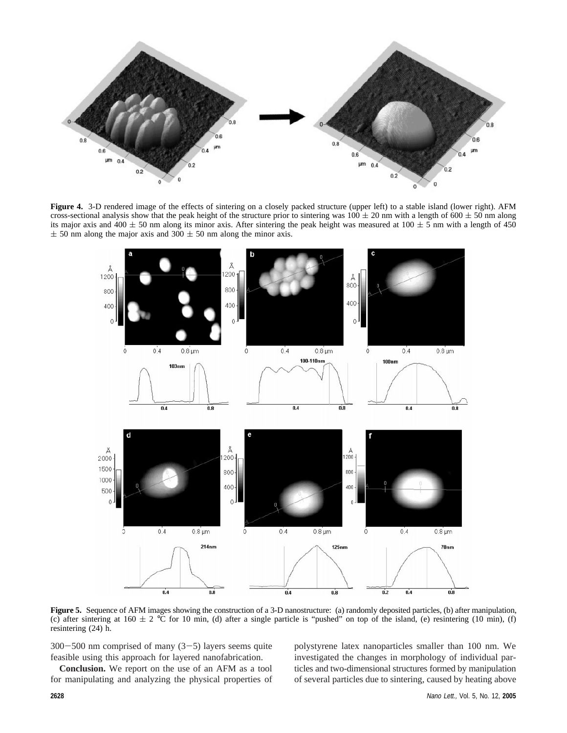

**Figure 4.** 3-D rendered image of the effects of sintering on a closely packed structure (upper left) to a stable island (lower right). AFM cross-sectional analysis show that the peak height of the structure prior to sintering was  $100 \pm 20$  nm with a length of 600  $\pm$  50 nm along its major axis and 400  $\pm$  50 nm along its minor axis. After sintering the peak height was measured at 100  $\pm$  5 nm with a length of 450  $\pm$  50 nm along the major axis and 300  $\pm$  50 nm along the minor axis.



**Figure 5.** Sequence of AFM images showing the construction of a 3-D nanostructure: (a) randomly deposited particles, (b) after manipulation, (c) after sintering at  $160 \pm 2$  °C for 10 min, (d) after a single particle is "pushed" on top of the island, (e) resintering (10 min), (f) resintering (24) h.

 $300-500$  nm comprised of many  $(3-5)$  layers seems quite feasible using this approach for layered nanofabrication.

**Conclusion.** We report on the use of an AFM as a tool for manipulating and analyzing the physical properties of polystyrene latex nanoparticles smaller than 100 nm. We investigated the changes in morphology of individual particles and two-dimensional structures formed by manipulation of several particles due to sintering, caused by heating above